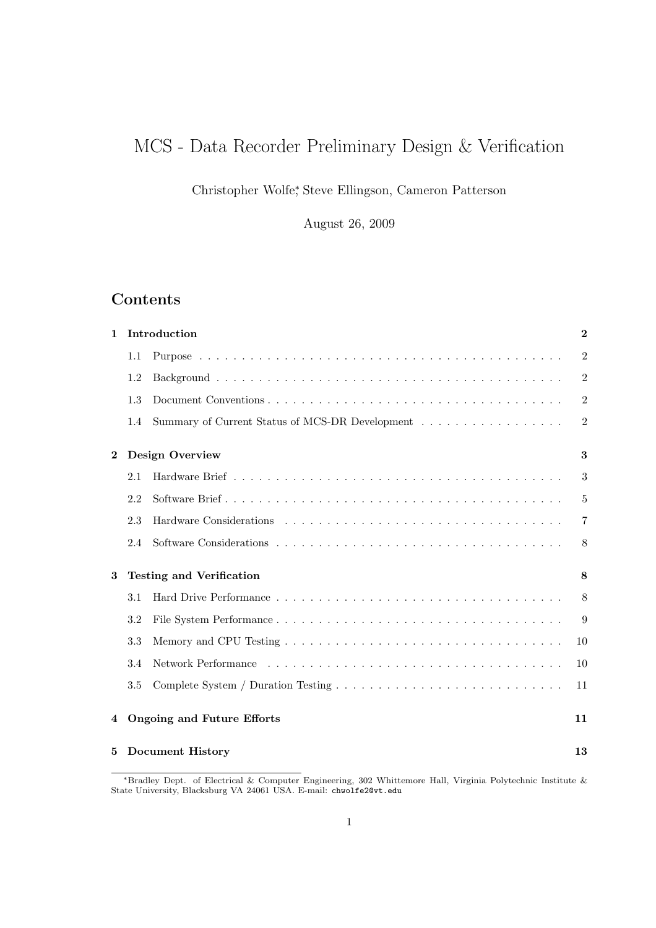# MCS - Data Recorder Preliminary Design & Verification

Christopher Wolfe<sup>∗</sup> , Steve Ellingson, Cameron Patterson

August 26, 2009

# Contents

| $\mathbf{1}$ | Introduction                    |                                                 | $\boldsymbol{2}$ |
|--------------|---------------------------------|-------------------------------------------------|------------------|
|              | 1.1                             |                                                 | $\overline{2}$   |
|              | 1.2                             |                                                 | $\overline{2}$   |
|              | 1.3                             |                                                 | $\overline{2}$   |
|              | 1.4                             | Summary of Current Status of MCS-DR Development | $\overline{2}$   |
| $\bf{2}$     | <b>Design Overview</b>          |                                                 |                  |
|              | 2.1                             |                                                 | 3                |
|              | 2.2                             |                                                 | 5                |
|              | 2.3                             |                                                 | $\overline{7}$   |
|              | 2.4                             |                                                 | 8                |
| 3            | <b>Testing and Verification</b> |                                                 | 8                |
|              | 3.1                             |                                                 | 8                |
|              | 3.2                             |                                                 | 9                |
|              | 3.3                             |                                                 | 10               |
|              | 3.4                             |                                                 | 10               |
|              | 3.5                             |                                                 | 11               |
| 4            |                                 | <b>Ongoing and Future Efforts</b>               | 11               |
| 5            |                                 | <b>Document History</b>                         | 13               |

<sup>∗</sup>Bradley Dept. of Electrical & Computer Engineering, 302 Whittemore Hall, Virginia Polytechnic Institute & State University, Blacksburg VA 24061 USA. E-mail: chwolfe2@vt.edu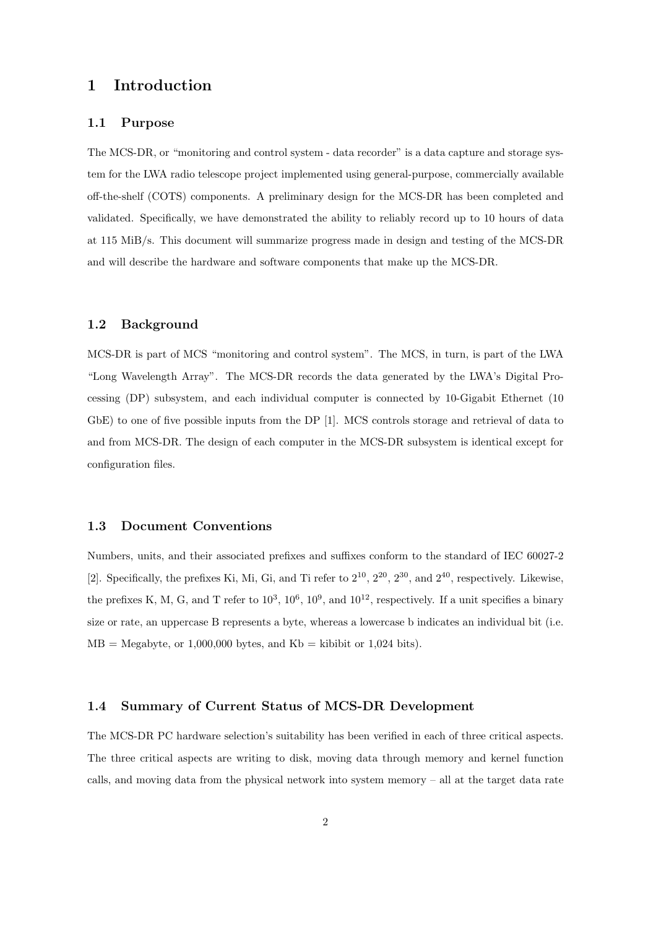### 1 Introduction

#### 1.1 Purpose

The MCS-DR, or "monitoring and control system - data recorder" is a data capture and storage system for the LWA radio telescope project implemented using general-purpose, commercially available off-the-shelf (COTS) components. A preliminary design for the MCS-DR has been completed and validated. Specifically, we have demonstrated the ability to reliably record up to 10 hours of data at 115 MiB/s. This document will summarize progress made in design and testing of the MCS-DR and will describe the hardware and software components that make up the MCS-DR.

#### 1.2 Background

MCS-DR is part of MCS "monitoring and control system". The MCS, in turn, is part of the LWA "Long Wavelength Array". The MCS-DR records the data generated by the LWA's Digital Processing (DP) subsystem, and each individual computer is connected by 10-Gigabit Ethernet (10 GbE) to one of five possible inputs from the DP [1]. MCS controls storage and retrieval of data to and from MCS-DR. The design of each computer in the MCS-DR subsystem is identical except for configuration files.

#### 1.3 Document Conventions

Numbers, units, and their associated prefixes and suffixes conform to the standard of IEC 60027-2 [2]. Specifically, the prefixes Ki, Mi, Gi, and Ti refer to  $2^{10}$ ,  $2^{20}$ ,  $2^{30}$ , and  $2^{40}$ , respectively. Likewise, the prefixes K, M, G, and T refer to  $10^3$ ,  $10^6$ ,  $10^9$ , and  $10^{12}$ , respectively. If a unit specifies a binary size or rate, an uppercase B represents a byte, whereas a lowercase b indicates an individual bit (i.e.  $MB = Megabyte$ , or 1,000,000 bytes, and  $Kb = kibibit$  or 1,024 bits).

#### 1.4 Summary of Current Status of MCS-DR Development

The MCS-DR PC hardware selection's suitability has been verified in each of three critical aspects. The three critical aspects are writing to disk, moving data through memory and kernel function calls, and moving data from the physical network into system memory – all at the target data rate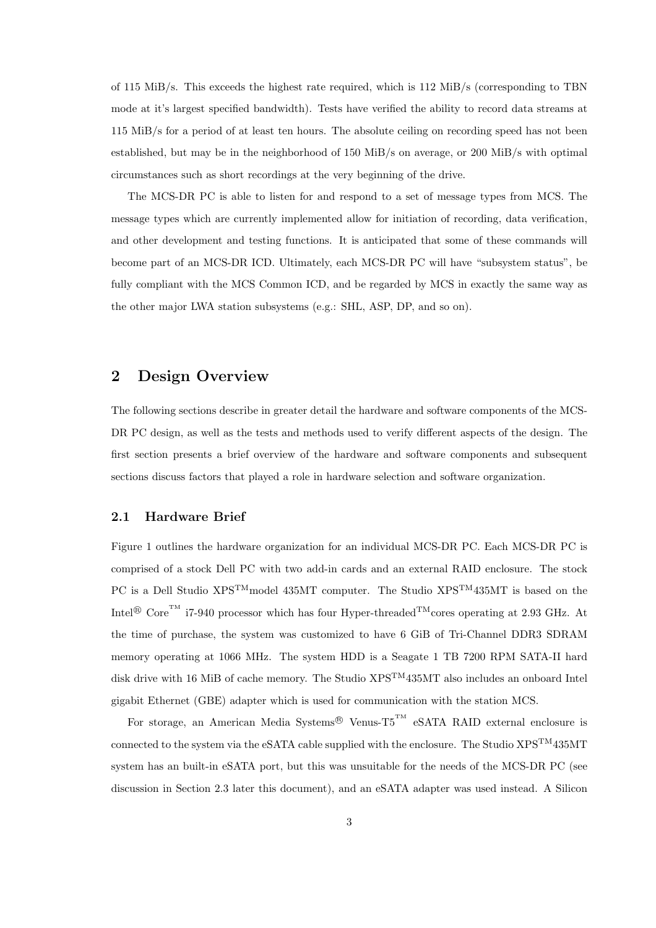of 115 MiB/s. This exceeds the highest rate required, which is 112 MiB/s (corresponding to TBN mode at it's largest specified bandwidth). Tests have verified the ability to record data streams at 115 MiB/s for a period of at least ten hours. The absolute ceiling on recording speed has not been established, but may be in the neighborhood of 150 MiB/s on average, or 200 MiB/s with optimal circumstances such as short recordings at the very beginning of the drive.

The MCS-DR PC is able to listen for and respond to a set of message types from MCS. The message types which are currently implemented allow for initiation of recording, data verification, and other development and testing functions. It is anticipated that some of these commands will become part of an MCS-DR ICD. Ultimately, each MCS-DR PC will have "subsystem status", be fully compliant with the MCS Common ICD, and be regarded by MCS in exactly the same way as the other major LWA station subsystems (e.g.: SHL, ASP, DP, and so on).

### 2 Design Overview

The following sections describe in greater detail the hardware and software components of the MCS-DR PC design, as well as the tests and methods used to verify different aspects of the design. The first section presents a brief overview of the hardware and software components and subsequent sections discuss factors that played a role in hardware selection and software organization.

#### 2.1 Hardware Brief

Figure 1 outlines the hardware organization for an individual MCS-DR PC. Each MCS-DR PC is comprised of a stock Dell PC with two add-in cards and an external RAID enclosure. The stock PC is a Dell Studio XPS<sup>TM</sup>model 435MT computer. The Studio XPS<sup>TM</sup>435MT is based on the Intel<sup>®</sup> Core<sup>TM</sup> i7-940 processor which has four Hyper-threaded<sup>TM</sup>cores operating at 2.93 GHz. At the time of purchase, the system was customized to have 6 GiB of Tri-Channel DDR3 SDRAM memory operating at 1066 MHz. The system HDD is a Seagate 1 TB 7200 RPM SATA-II hard disk drive with 16 MiB of cache memory. The Studio XPS<sup>TM</sup>435MT also includes an onboard Intel gigabit Ethernet (GBE) adapter which is used for communication with the station MCS.

For storage, an American Media Systems<sup>®</sup> Venus-T5<sup>TM</sup> eSATA RAID external enclosure is connected to the system via the eSATA cable supplied with the enclosure. The Studio  $XPS^{TM}435MT$ system has an built-in eSATA port, but this was unsuitable for the needs of the MCS-DR PC (see discussion in Section 2.3 later this document), and an eSATA adapter was used instead. A Silicon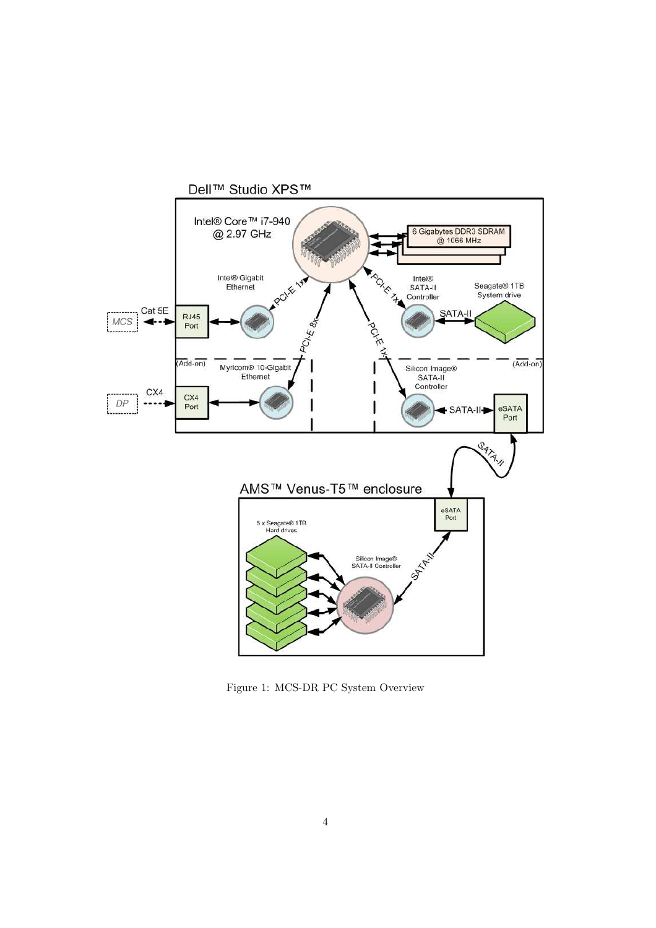

Figure 1: MCS-DR PC System Overview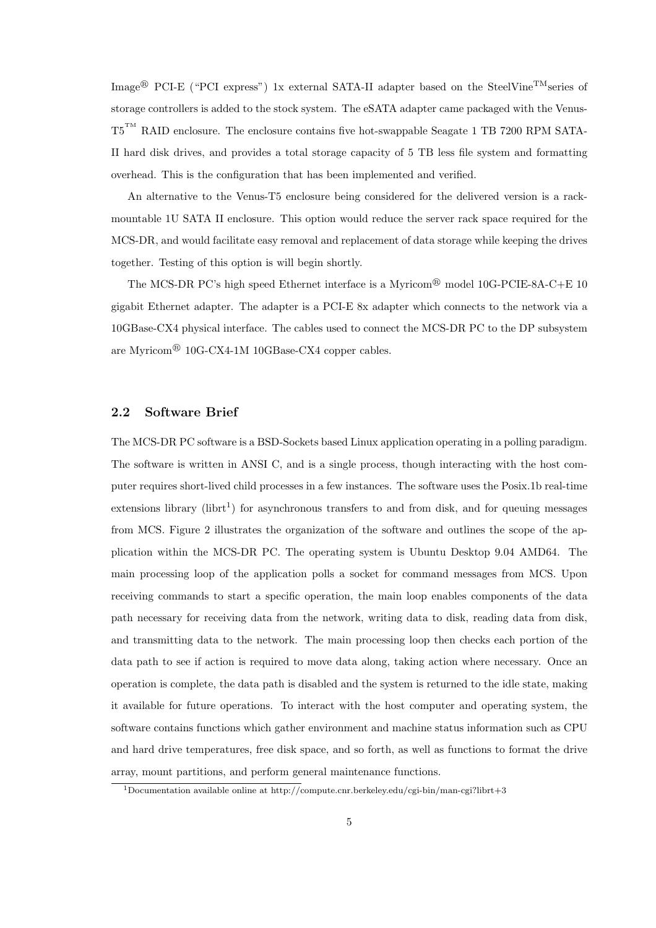Image<sup>®</sup> PCI-E ("PCI express") 1x external SATA-II adapter based on the SteelVine<sup>TM</sup>series of storage controllers is added to the stock system. The eSATA adapter came packaged with the Venus-T5<sup>TM</sup> RAID enclosure. The enclosure contains five hot-swappable Seagate 1 TB 7200 RPM SATA-II hard disk drives, and provides a total storage capacity of 5 TB less file system and formatting overhead. This is the configuration that has been implemented and verified.

An alternative to the Venus-T5 enclosure being considered for the delivered version is a rackmountable 1U SATA II enclosure. This option would reduce the server rack space required for the MCS-DR, and would facilitate easy removal and replacement of data storage while keeping the drives together. Testing of this option is will begin shortly.

The MCS-DR PC's high speed Ethernet interface is a Myricom<sup>®</sup> model 10G-PCIE-8A-C+E 10 gigabit Ethernet adapter. The adapter is a PCI-E 8x adapter which connects to the network via a 10GBase-CX4 physical interface. The cables used to connect the MCS-DR PC to the DP subsystem are Myricom<sup>®</sup> 10G-CX4-1M 10GBase-CX4 copper cables.

#### 2.2 Software Brief

The MCS-DR PC software is a BSD-Sockets based Linux application operating in a polling paradigm. The software is written in ANSI C, and is a single process, though interacting with the host computer requires short-lived child processes in a few instances. The software uses the Posix.1b real-time  $extensors library (librt<sup>1</sup>)$  for asynchronous transfers to and from disk, and for queuing messages from MCS. Figure 2 illustrates the organization of the software and outlines the scope of the application within the MCS-DR PC. The operating system is Ubuntu Desktop 9.04 AMD64. The main processing loop of the application polls a socket for command messages from MCS. Upon receiving commands to start a specific operation, the main loop enables components of the data path necessary for receiving data from the network, writing data to disk, reading data from disk, and transmitting data to the network. The main processing loop then checks each portion of the data path to see if action is required to move data along, taking action where necessary. Once an operation is complete, the data path is disabled and the system is returned to the idle state, making it available for future operations. To interact with the host computer and operating system, the software contains functions which gather environment and machine status information such as CPU and hard drive temperatures, free disk space, and so forth, as well as functions to format the drive array, mount partitions, and perform general maintenance functions.

<sup>1</sup>Documentation available online at http://compute.cnr.berkeley.edu/cgi-bin/man-cgi?librt+3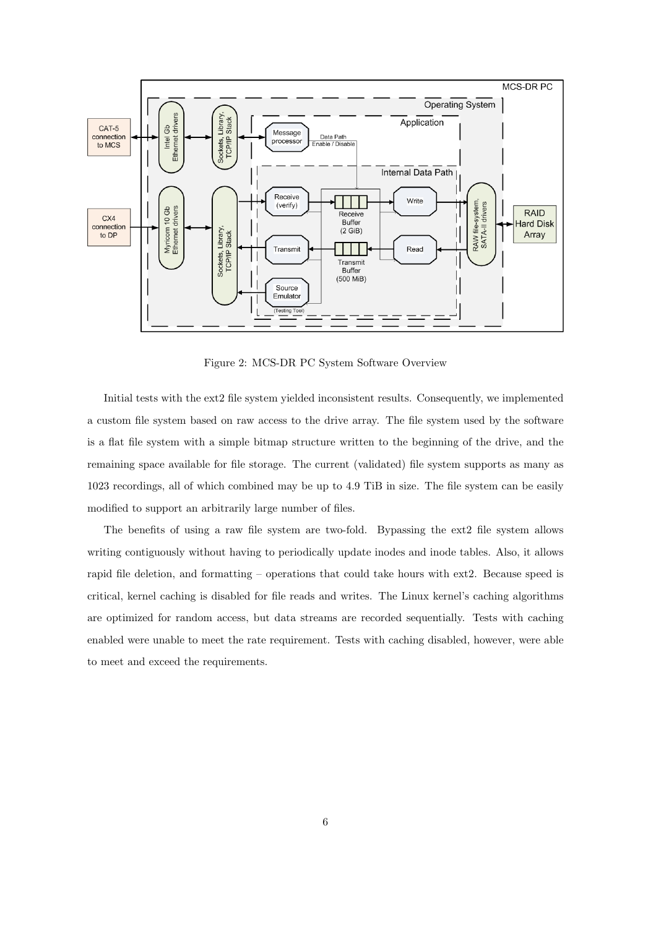

Figure 2: MCS-DR PC System Software Overview

Initial tests with the ext2 file system yielded inconsistent results. Consequently, we implemented a custom file system based on raw access to the drive array. The file system used by the software is a flat file system with a simple bitmap structure written to the beginning of the drive, and the remaining space available for file storage. The current (validated) file system supports as many as 1023 recordings, all of which combined may be up to 4.9 TiB in size. The file system can be easily modified to support an arbitrarily large number of files.

The benefits of using a raw file system are two-fold. Bypassing the ext2 file system allows writing contiguously without having to periodically update inodes and inode tables. Also, it allows rapid file deletion, and formatting – operations that could take hours with ext2. Because speed is critical, kernel caching is disabled for file reads and writes. The Linux kernel's caching algorithms are optimized for random access, but data streams are recorded sequentially. Tests with caching enabled were unable to meet the rate requirement. Tests with caching disabled, however, were able to meet and exceed the requirements.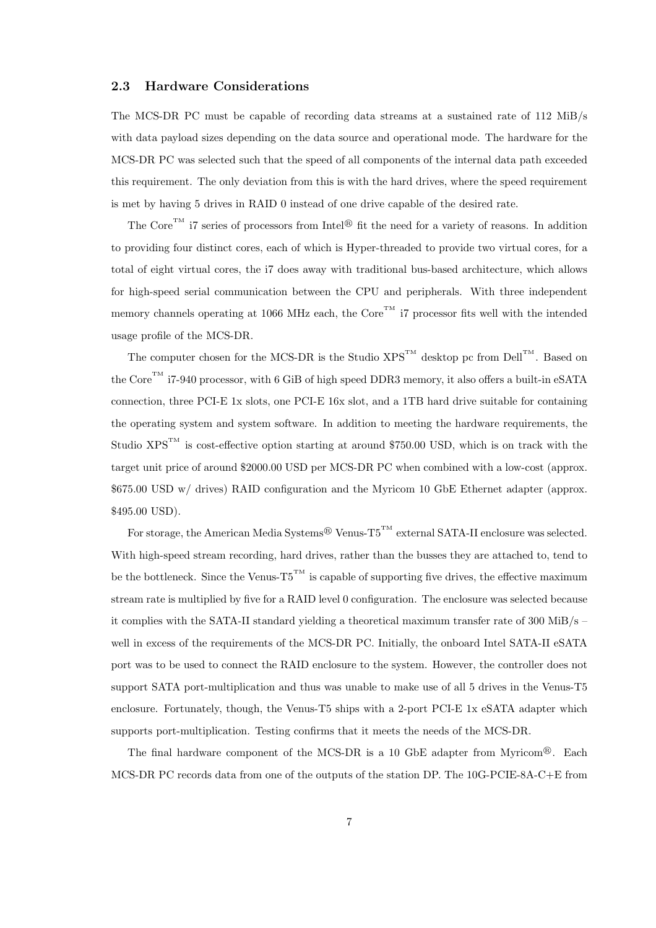#### 2.3 Hardware Considerations

The MCS-DR PC must be capable of recording data streams at a sustained rate of 112 MiB/s with data payload sizes depending on the data source and operational mode. The hardware for the MCS-DR PC was selected such that the speed of all components of the internal data path exceeded this requirement. The only deviation from this is with the hard drives, where the speed requirement is met by having 5 drives in RAID 0 instead of one drive capable of the desired rate.

The Core<sup>TM</sup> i7 series of processors from Intel<sup>®</sup> fit the need for a variety of reasons. In addition to providing four distinct cores, each of which is Hyper-threaded to provide two virtual cores, for a total of eight virtual cores, the i7 does away with traditional bus-based architecture, which allows for high-speed serial communication between the CPU and peripherals. With three independent memory channels operating at 1066 MHz each, the Core<sup>TM</sup> i7 processor fits well with the intended usage profile of the MCS-DR.

The computer chosen for the MCS-DR is the Studio  $XPS^{TM}$  desktop pc from Dell<sup>TM</sup>. Based on the Core<sup>TM</sup> i7-940 processor, with 6 GiB of high speed DDR3 memory, it also offers a built-in eSATA connection, three PCI-E 1x slots, one PCI-E 16x slot, and a 1TB hard drive suitable for containing the operating system and system software. In addition to meeting the hardware requirements, the Studio  $XPS^{TM}$  is cost-effective option starting at around \$750.00 USD, which is on track with the target unit price of around \$2000.00 USD per MCS-DR PC when combined with a low-cost (approx. \$675.00 USD w/ drives) RAID configuration and the Myricom 10 GbE Ethernet adapter (approx. \$495.00 USD).

For storage, the American Media Systems<sup>®</sup> Venus-T5<sup>TM</sup> external SATA-II enclosure was selected. With high-speed stream recording, hard drives, rather than the busses they are attached to, tend to be the bottleneck. Since the Venus- $T5^{TM}$  is capable of supporting five drives, the effective maximum stream rate is multiplied by five for a RAID level 0 configuration. The enclosure was selected because it complies with the SATA-II standard yielding a theoretical maximum transfer rate of 300 MiB/s – well in excess of the requirements of the MCS-DR PC. Initially, the onboard Intel SATA-II eSATA port was to be used to connect the RAID enclosure to the system. However, the controller does not support SATA port-multiplication and thus was unable to make use of all 5 drives in the Venus-T5 enclosure. Fortunately, though, the Venus-T5 ships with a 2-port PCI-E 1x eSATA adapter which supports port-multiplication. Testing confirms that it meets the needs of the MCS-DR.

The final hardware component of the MCS-DR is a 10 GbE adapter from Myricom<sup>®</sup>. Each MCS-DR PC records data from one of the outputs of the station DP. The 10G-PCIE-8A-C+E from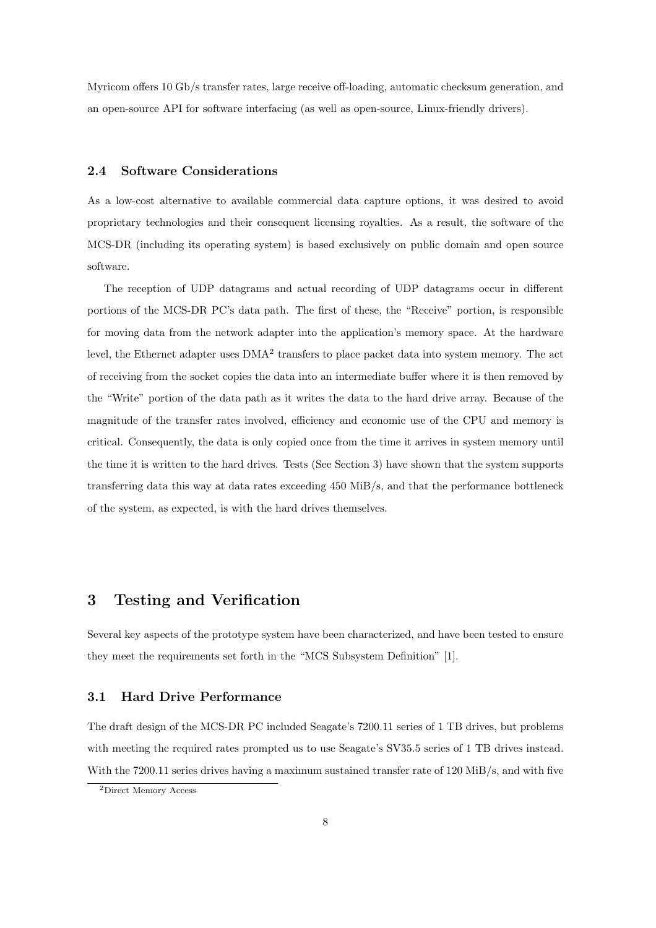Myricom offers 10 Gb/s transfer rates, large receive off-loading, automatic checksum generation, and an open-source API for software interfacing (as well as open-source, Linux-friendly drivers).

#### 2.4 Software Considerations

As a low-cost alternative to available commercial data capture options, it was desired to avoid proprietary technologies and their consequent licensing royalties. As a result, the software of the MCS-DR (including its operating system) is based exclusively on public domain and open source software.

The reception of UDP datagrams and actual recording of UDP datagrams occur in different portions of the MCS-DR PC's data path. The first of these, the "Receive" portion, is responsible for moving data from the network adapter into the application's memory space. At the hardware level, the Ethernet adapter uses  $\text{DMA}^2$  transfers to place packet data into system memory. The act of receiving from the socket copies the data into an intermediate buffer where it is then removed by the "Write" portion of the data path as it writes the data to the hard drive array. Because of the magnitude of the transfer rates involved, efficiency and economic use of the CPU and memory is critical. Consequently, the data is only copied once from the time it arrives in system memory until the time it is written to the hard drives. Tests (See Section 3) have shown that the system supports transferring data this way at data rates exceeding 450 MiB/s, and that the performance bottleneck of the system, as expected, is with the hard drives themselves.

## 3 Testing and Verification

Several key aspects of the prototype system have been characterized, and have been tested to ensure they meet the requirements set forth in the "MCS Subsystem Definition" [1].

#### 3.1 Hard Drive Performance

The draft design of the MCS-DR PC included Seagate's 7200.11 series of 1 TB drives, but problems with meeting the required rates prompted us to use Seagate's SV35.5 series of 1 TB drives instead. With the 7200.11 series drives having a maximum sustained transfer rate of 120 MiB/s, and with five

<sup>2</sup>Direct Memory Access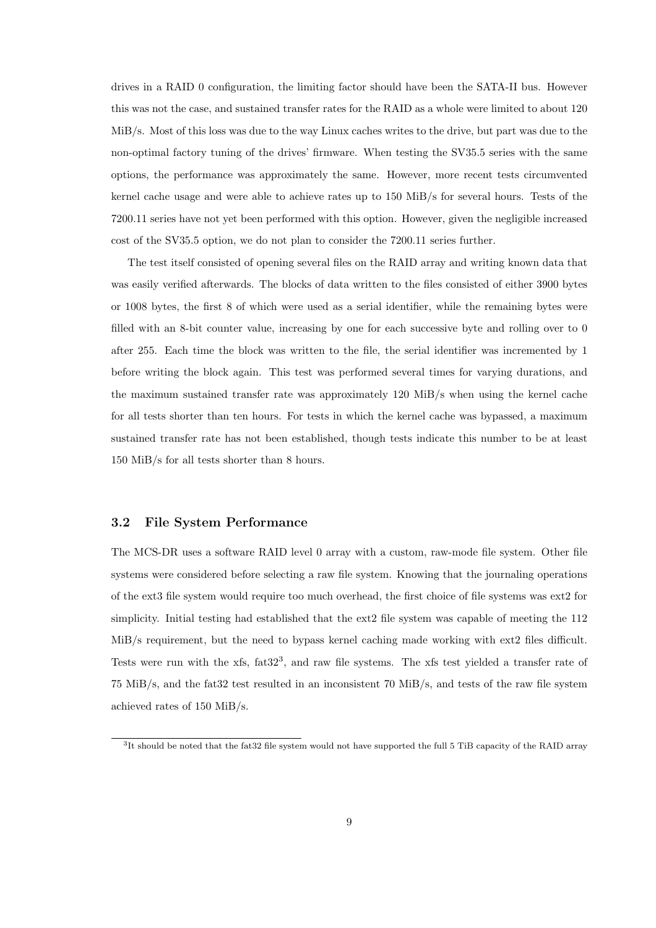drives in a RAID 0 configuration, the limiting factor should have been the SATA-II bus. However this was not the case, and sustained transfer rates for the RAID as a whole were limited to about 120 MiB/s. Most of this loss was due to the way Linux caches writes to the drive, but part was due to the non-optimal factory tuning of the drives' firmware. When testing the SV35.5 series with the same options, the performance was approximately the same. However, more recent tests circumvented kernel cache usage and were able to achieve rates up to 150 MiB/s for several hours. Tests of the 7200.11 series have not yet been performed with this option. However, given the negligible increased cost of the SV35.5 option, we do not plan to consider the 7200.11 series further.

The test itself consisted of opening several files on the RAID array and writing known data that was easily verified afterwards. The blocks of data written to the files consisted of either 3900 bytes or 1008 bytes, the first 8 of which were used as a serial identifier, while the remaining bytes were filled with an 8-bit counter value, increasing by one for each successive byte and rolling over to 0 after 255. Each time the block was written to the file, the serial identifier was incremented by 1 before writing the block again. This test was performed several times for varying durations, and the maximum sustained transfer rate was approximately 120 MiB/s when using the kernel cache for all tests shorter than ten hours. For tests in which the kernel cache was bypassed, a maximum sustained transfer rate has not been established, though tests indicate this number to be at least 150 MiB/s for all tests shorter than 8 hours.

#### 3.2 File System Performance

The MCS-DR uses a software RAID level 0 array with a custom, raw-mode file system. Other file systems were considered before selecting a raw file system. Knowing that the journaling operations of the ext3 file system would require too much overhead, the first choice of file systems was ext2 for simplicity. Initial testing had established that the ext2 file system was capable of meeting the 112 MiB/s requirement, but the need to bypass kernel caching made working with ext2 files difficult. Tests were run with the xfs, fat32<sup>3</sup>, and raw file systems. The xfs test yielded a transfer rate of 75 MiB/s, and the fat32 test resulted in an inconsistent 70 MiB/s, and tests of the raw file system achieved rates of 150 MiB/s.

 ${}^{3}$ It should be noted that the fat32 file system would not have supported the full 5 TiB capacity of the RAID array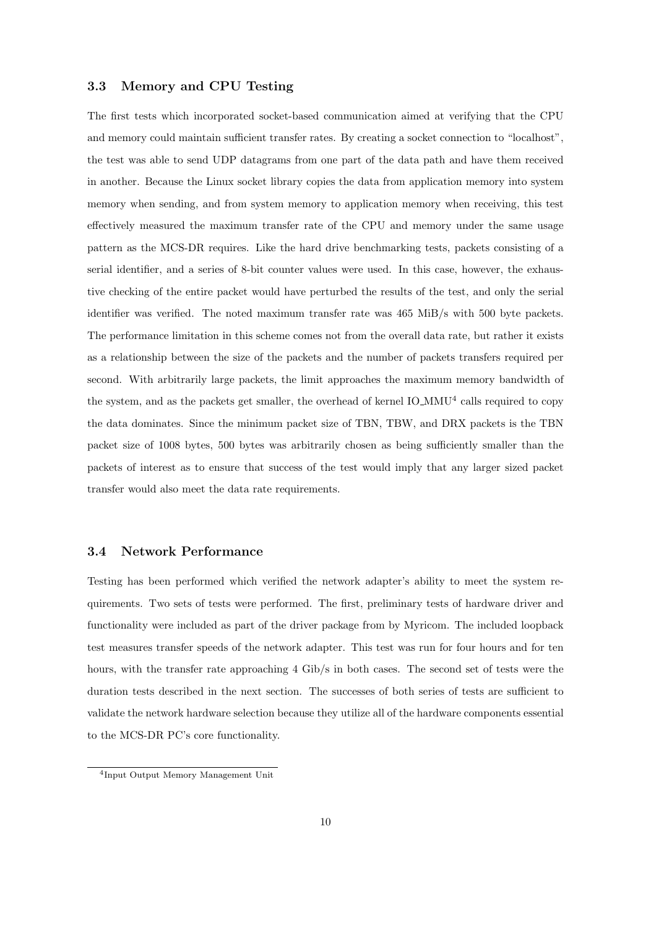#### 3.3 Memory and CPU Testing

The first tests which incorporated socket-based communication aimed at verifying that the CPU and memory could maintain sufficient transfer rates. By creating a socket connection to "localhost", the test was able to send UDP datagrams from one part of the data path and have them received in another. Because the Linux socket library copies the data from application memory into system memory when sending, and from system memory to application memory when receiving, this test effectively measured the maximum transfer rate of the CPU and memory under the same usage pattern as the MCS-DR requires. Like the hard drive benchmarking tests, packets consisting of a serial identifier, and a series of 8-bit counter values were used. In this case, however, the exhaustive checking of the entire packet would have perturbed the results of the test, and only the serial identifier was verified. The noted maximum transfer rate was 465 MiB/s with 500 byte packets. The performance limitation in this scheme comes not from the overall data rate, but rather it exists as a relationship between the size of the packets and the number of packets transfers required per second. With arbitrarily large packets, the limit approaches the maximum memory bandwidth of the system, and as the packets get smaller, the overhead of kernel  $IO\_MMU^4$  calls required to copy the data dominates. Since the minimum packet size of TBN, TBW, and DRX packets is the TBN packet size of 1008 bytes, 500 bytes was arbitrarily chosen as being sufficiently smaller than the packets of interest as to ensure that success of the test would imply that any larger sized packet transfer would also meet the data rate requirements.

#### 3.4 Network Performance

Testing has been performed which verified the network adapter's ability to meet the system requirements. Two sets of tests were performed. The first, preliminary tests of hardware driver and functionality were included as part of the driver package from by Myricom. The included loopback test measures transfer speeds of the network adapter. This test was run for four hours and for ten hours, with the transfer rate approaching 4 Gib/s in both cases. The second set of tests were the duration tests described in the next section. The successes of both series of tests are sufficient to validate the network hardware selection because they utilize all of the hardware components essential to the MCS-DR PC's core functionality.

<sup>4</sup> Input Output Memory Management Unit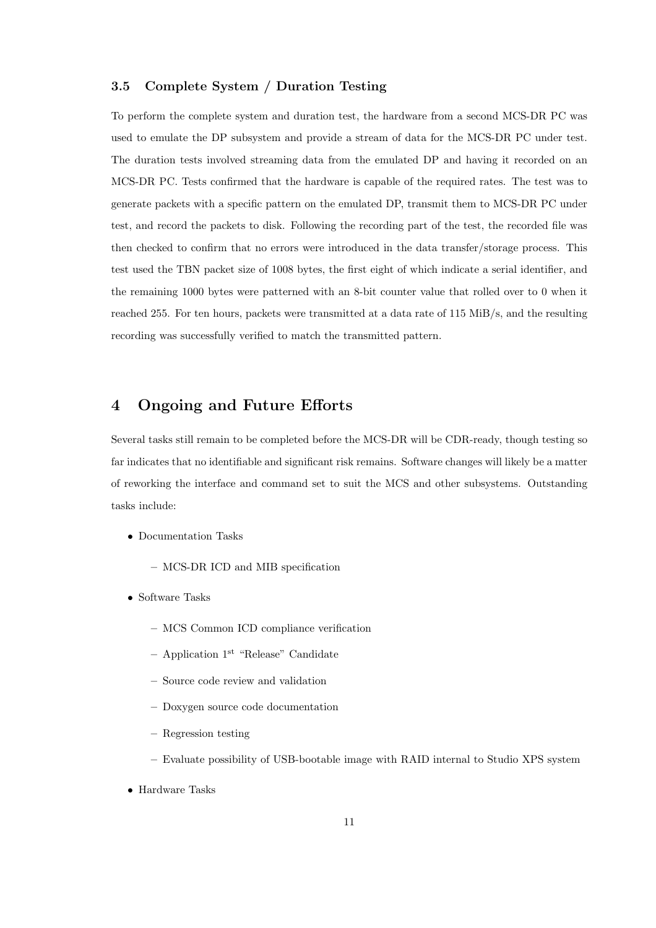#### 3.5 Complete System / Duration Testing

To perform the complete system and duration test, the hardware from a second MCS-DR PC was used to emulate the DP subsystem and provide a stream of data for the MCS-DR PC under test. The duration tests involved streaming data from the emulated DP and having it recorded on an MCS-DR PC. Tests confirmed that the hardware is capable of the required rates. The test was to generate packets with a specific pattern on the emulated DP, transmit them to MCS-DR PC under test, and record the packets to disk. Following the recording part of the test, the recorded file was then checked to confirm that no errors were introduced in the data transfer/storage process. This test used the TBN packet size of 1008 bytes, the first eight of which indicate a serial identifier, and the remaining 1000 bytes were patterned with an 8-bit counter value that rolled over to 0 when it reached 255. For ten hours, packets were transmitted at a data rate of 115 MiB/s, and the resulting recording was successfully verified to match the transmitted pattern.

### 4 Ongoing and Future Efforts

Several tasks still remain to be completed before the MCS-DR will be CDR-ready, though testing so far indicates that no identifiable and significant risk remains. Software changes will likely be a matter of reworking the interface and command set to suit the MCS and other subsystems. Outstanding tasks include:

- ∙ Documentation Tasks
	- MCS-DR ICD and MIB specification
- ∙ Software Tasks
	- MCS Common ICD compliance verification
	- $-$  Application 1<sup>st</sup> "Release" Candidate
	- Source code review and validation
	- Doxygen source code documentation
	- Regression testing
	- Evaluate possibility of USB-bootable image with RAID internal to Studio XPS system
- ∙ Hardware Tasks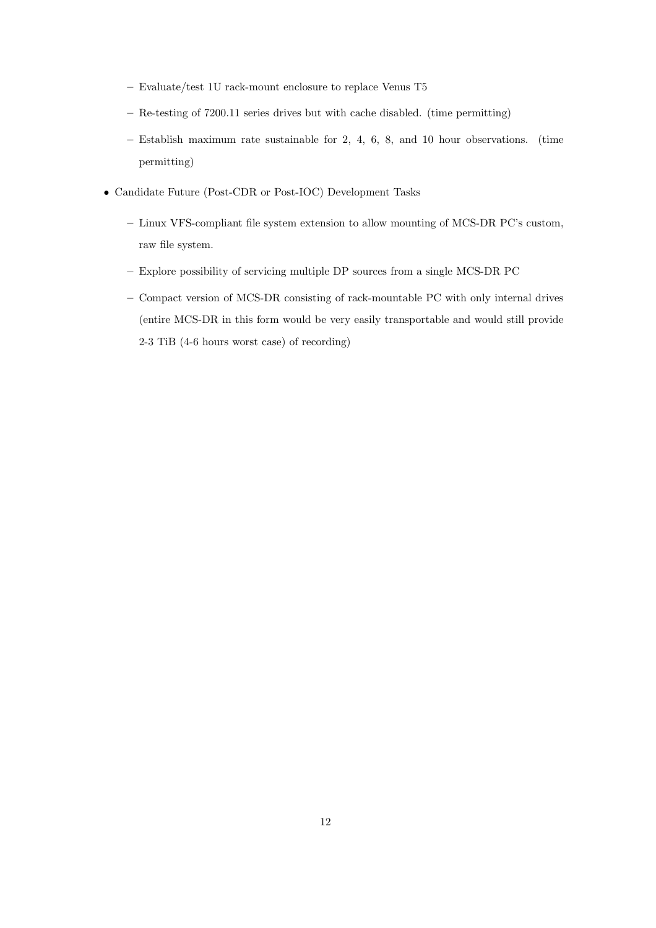- Evaluate/test 1U rack-mount enclosure to replace Venus T5
- Re-testing of 7200.11 series drives but with cache disabled. (time permitting)
- Establish maximum rate sustainable for 2, 4, 6, 8, and 10 hour observations. (time permitting)
- ∙ Candidate Future (Post-CDR or Post-IOC) Development Tasks
	- Linux VFS-compliant file system extension to allow mounting of MCS-DR PC's custom, raw file system.
	- Explore possibility of servicing multiple DP sources from a single MCS-DR PC
	- Compact version of MCS-DR consisting of rack-mountable PC with only internal drives (entire MCS-DR in this form would be very easily transportable and would still provide 2-3 TiB (4-6 hours worst case) of recording)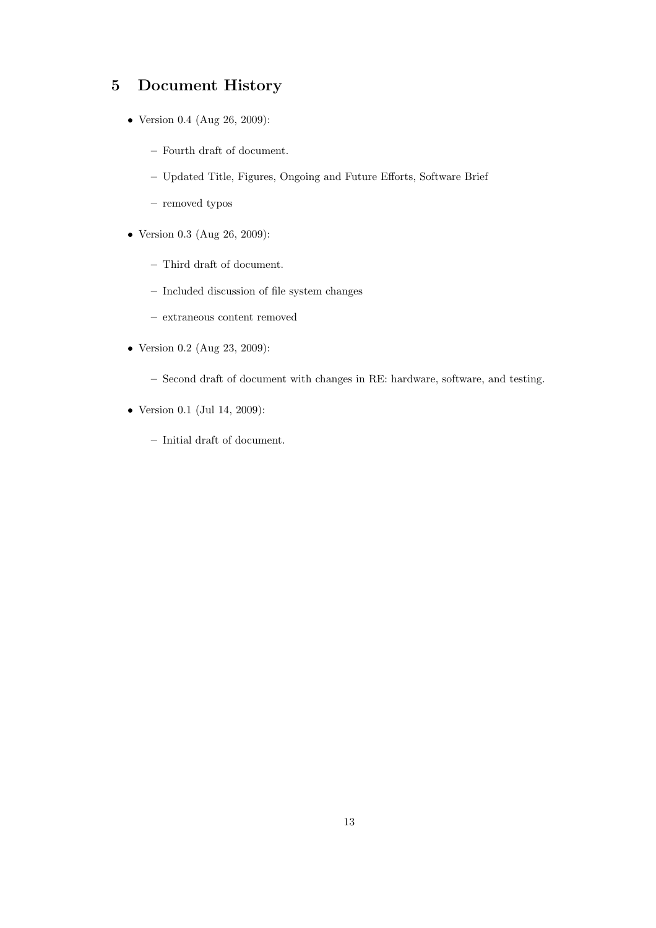# 5 Document History

- ∙ Version 0.4 (Aug 26, 2009):
	- Fourth draft of document.
	- Updated Title, Figures, Ongoing and Future Efforts, Software Brief
	- removed typos
- ∙ Version 0.3 (Aug 26, 2009):
	- Third draft of document.
	- Included discussion of file system changes
	- extraneous content removed
- ∙ Version 0.2 (Aug 23, 2009):
	- Second draft of document with changes in RE: hardware, software, and testing.
- ∙ Version 0.1 (Jul 14, 2009):
	- Initial draft of document.